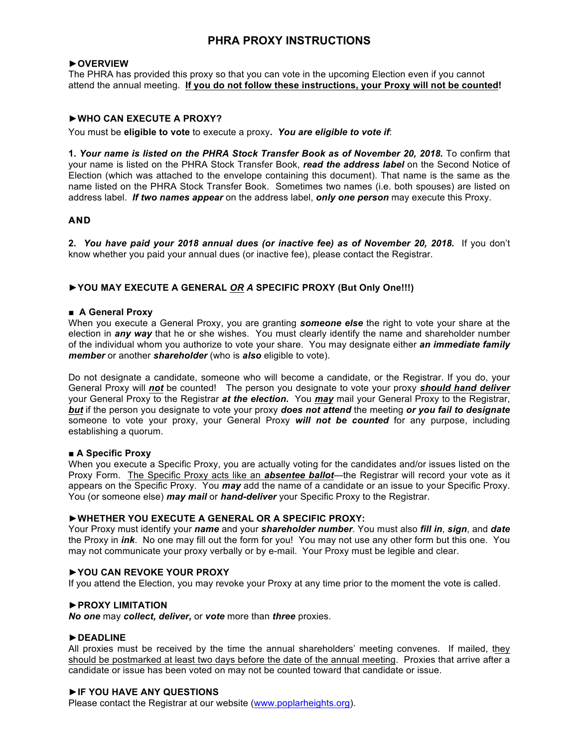### **PHRA PROXY INSTRUCTIONS**

#### **►OVERVIEW**

The PHRA has provided this proxy so that you can vote in the upcoming Election even if you cannot attend the annual meeting. **If you do not follow these instructions, your Proxy will not be counted!**

#### **►WHO CAN EXECUTE A PROXY?**

You must be **eligible to vote** to execute a proxy**.** *You are eligible to vote if*:

**1.** *Your name is listed on the PHRA Stock Transfer Book as of November 20, 2018.* To confirm that your name is listed on the PHRA Stock Transfer Book, *read the address label* on the Second Notice of Election (which was attached to the envelope containing this document). That name is the same as the name listed on the PHRA Stock Transfer Book. Sometimes two names (i.e. both spouses) are listed on address label. *If two names appear* on the address label, *only one person* may execute this Proxy.

#### **AND**

**2.** *You have paid your 2018 annual dues (or inactive fee) as of November 20, 2018.* If you don't know whether you paid your annual dues (or inactive fee), please contact the Registrar.

#### **►YOU MAY EXECUTE A GENERAL** *OR A* **SPECIFIC PROXY (But Only One!!!)**

#### **■ A General Proxy**

When you execute a General Proxy, you are granting *someone else* the right to vote your share at the election in *any way* that he or she wishes. You must clearly identify the name and shareholder number of the individual whom you authorize to vote your share. You may designate either *an immediate family member* or another *shareholder* (who is *also* eligible to vote).

Do not designate a candidate, someone who will become a candidate, or the Registrar. If you do, your General Proxy will *not* be counted! The person you designate to vote your proxy *should hand deliver* your General Proxy to the Registrar *at the election.* You *may* mail your General Proxy to the Registrar, *but* if the person you designate to vote your proxy *does not attend* the meeting *or you fail to designate* someone to vote your proxy, your General Proxy *will not be counted* for any purpose, including establishing a quorum.

#### **■ A Specific Proxy**

When you execute a Specific Proxy, you are actually voting for the candidates and/or issues listed on the Proxy Form. The Specific Proxy acts like an *absentee ballot*—the Registrar will record your vote as it appears on the Specific Proxy. You *may* add the name of a candidate or an issue to your Specific Proxy. You (or someone else) *may mail* or *hand-deliver* your Specific Proxy to the Registrar.

#### **►WHETHER YOU EXECUTE A GENERAL OR A SPECIFIC PROXY:**

Your Proxy must identify your *name* and your *shareholder number*. You must also *fill in*, *sign*, and *date* the Proxy in *ink*. No one may fill out the form for you! You may not use any other form but this one. You may not communicate your proxy verbally or by e-mail. Your Proxy must be legible and clear.

#### **►YOU CAN REVOKE YOUR PROXY**

If you attend the Election, you may revoke your Proxy at any time prior to the moment the vote is called.

#### ►**PROXY LIMITATION**

*No one* may *collect, deliver,* or *vote* more than *three* proxies.

#### ►**DEADLINE**

All proxies must be received by the time the annual shareholders' meeting convenes. If mailed, they should be postmarked at least two days before the date of the annual meeting. Proxies that arrive after a candidate or issue has been voted on may not be counted toward that candidate or issue.

#### ►**IF YOU HAVE ANY QUESTIONS**

Please contact the Registrar at our website (www.poplarheights.org).